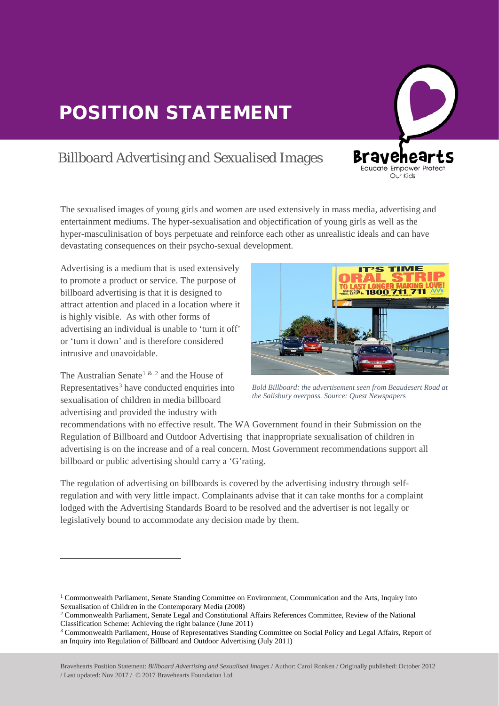## POSITION STATEMENT

## Billboard Advertising and Sexualised Images

The sexualised images of young girls and women are used extensively in mass media, advertising and entertainment mediums. The hyper-sexualisation and objectification of young girls as well as the hyper-masculinisation of boys perpetuate and reinforce each other as unrealistic ideals and can have devastating consequences on their psycho-sexual development.

Advertising is a medium that is used extensively to promote a product or service. The purpose of billboard advertising is that it is designed to attract attention and placed in a location where it is highly visible. As with other forms of advertising an individual is unable to 'turn it off' or 'turn it down' and is therefore considered intrusive and unavoidable.

The Australian Senate<sup>[1](#page-0-0) & [2](#page-0-1)</sup> and the House of Representatives<sup>[3](#page-0-2)</sup> have conducted enquiries into sexualisation of children in media billboard advertising and provided the industry with

 $\overline{a}$ 

 $\overline{a}$ 



**Bra** 

en Educate Empower Protect Our Kids

*Bold Billboard: the advertisement seen from Beaudesert Road at the Salisbury overpass. Source: Quest Newspaper*s

recommendations with no effective result. The WA Government found in their Submission on the Regulation of Billboard and Outdoor Advertising that inappropriate sexualisation of children in advertising is on the increase and of a real concern. Most Government recommendations support all billboard or public advertising should carry a 'G'rating.

The regulation of advertising on billboards is covered by the advertising industry through self regulation and with very little impact. Complainants advise that it can take months for a complaint lodged with the Advertising Standards Board to be resolved and the advertiser is not legally or legislatively bound to accommodate any decision made by them.

<span id="page-0-0"></span><sup>1</sup> Commonwealth Parliament, Senate Standing Committee on Environment, Communication and the Arts, Inquiry into Sexualisation of Children in the Contemporary Media (2008)

<span id="page-0-1"></span><sup>2</sup> Commonwealth Parliament, Senate Legal and Constitutional Affairs References Committee, Review of the National Classification Scheme: Achieving the right balance (June 2011) Classification Scheme: Achieving the right balance (June 2011)<br><sup>3</sup> Commonwealth Parliament, House of Representatives Standing Committee on Social Policy and Legal Affairs, Report of

<span id="page-0-2"></span>an Inquiry into Regulation of Billboard and Outdoor Advertising (July 2011)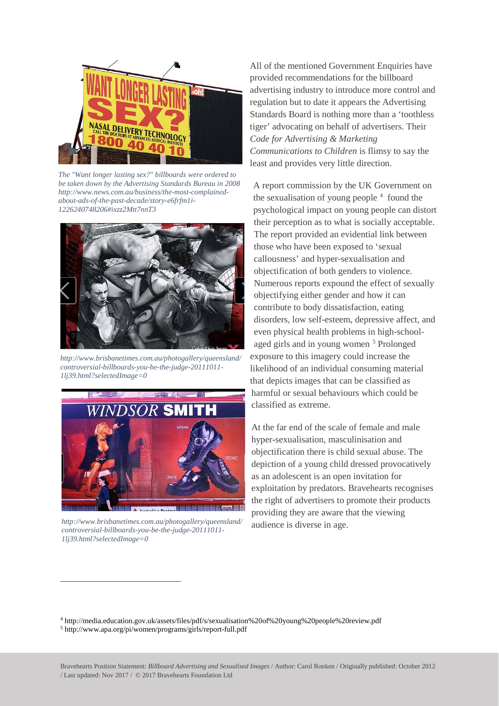

*The "Want longer lasting sex?" billboards were ordered to be taken down by the Advertising Standards Bureau in 2008 http://www.news.com.au/business/the-most-complainedabout-ads-of-the-past-decade/story-e6frfm1i-1226240748206#ixzz2Mtt7nnT3*



*http://www.brisbanetimes.com.au/photogallery/queensland/ controversial-billboards-you-be-the-judge-20111011- 1lj39.html?selectedImage=0*



*http://www.brisbanetimes.com.au/photogallery/queensland/ controversial-billboards-you-be-the-judge-20111011- 1lj39.html?selectedImage=0*

 $\overline{a}$ 

All of the mentioned Government Enquiries have provided recommendations for the billboard advertising industry to introduce more control and regulation but to date it appears the Advertising Standards Board is nothing more than a 'toothless tiger' advocating on behalf of advertisers. Their *Code for Advertising & Marketing Communications to Children* is flimsy to say the least and provides very little direction.

A report commission by the UK Government on the sexualisation of young people  $4$  found the psychological impact on young people can distort their perception as to what is socially acceptable. The report provided an evidential link between those who have been exposed to 'sexual callousness' and hyper-sexualisation and objectification of both genders to violence. Numerous reports expound the effect of sexually objectifying either gender and how it can contribute to body dissatisfaction, eating disorders, low self-esteem, depressive affect, and even physical health problems in high-schoolaged girls and in young women [5](#page-1-1) Prolonged exposure to this imagery could increase the likelihood of an individual consuming material that depicts images that can be classified as harmful or sexual behaviours which could be classified as extreme.

At the far end of the scale of female and male hyper-sexualisation, masculinisation and objectification there is child sexual abuse. The depiction of a young child dressed provocatively as an adolescent is an open invitation for exploitation by predators. Bravehearts recognises the right of advertisers to promote their products providing they are aware that the viewing audience is diverse in age.

<span id="page-1-1"></span><span id="page-1-0"></span><sup>4</sup> http://media.education.gov.uk/assets/files/pdf/s/sexualisation%20of%20young%20people%20review.pdf <sup>5</sup> http://www.apa.org/pi/women/programs/girls/report-full.pdf